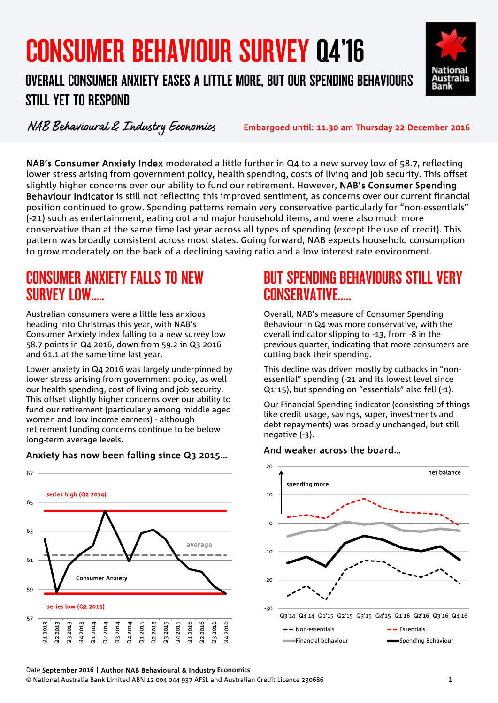# CONSUMER BEHAVIOUR SURVEY Q4'16

#### r<br>C  $\overline{ }$ OVERALL CONSUMER ANXIETY EASES A LITTLE MORE, BUT OUR SPENDING BEHAVIOURS STILL YET TO RESPOND



**National** Australia **Bank** 

NAB's Consumer Anxiety Index moderated a little further in Q4 to a new survey low of 58.7, reflecting lower stress arising from government policy, health spending, costs of living and job security. This offset slightly higher concerns over our ability to fund our retirement. However, NAB's Consumer Spending Behaviour Indicator is still not reflecting this improved sentiment, as concerns over our current financial position continued to grow. Spending patterns remain very conservative particularly for "non-essentials" (-21) such as entertainment, eating out and major household items, and were also much more conservative than at the same time last year across all types of spending (except the use of credit). This pattern was broadly consistent across most states. Going forward, NAB expects household consumption to grow moderately on the back of a declining saving ratio and a low interest rate environment.

### CONSUMER ANXIETY FALLS TO NEW SURVEY LOW

Australian consumers were a little less anxious heading into Christmas this year, with NAB's Consumer Anxiety Index falling to a new survey low 58.7 points in Q4 2016, down from 59.2 in Q3 2016 and 61.1 at the same time last year.

Lower anxiety in Q4 2016 was largely underpinned by lower stress arising from government policy, as well our health spending, cost of living and job security. This offset slightly higher concerns over our ability to fund our retirement (particularly among middle aged women and low income earners) - although retirement funding concerns continue to be below long-term average levels.

#### Anxiety has now been falling since Q3 2015…



### BUT SPENDING BEHAVIOURS STILL VERY CONSERVATIVE…..

Overall, NAB's measure of Consumer Spending Behaviour in Q4 was more conservative, with the overall indicator slipping to -13, from -8 in the previous quarter, indicating that more consumers are cutting back their spending.

This decline was driven mostly by cutbacks in "nonessential" spending (-21 and its lowest level since Q1'15), but spending on "essentials" also fell (-1).

Our Financial Spending indicator (consisting of things like credit usage, savings, super, investments and debt repayments) was broadly unchanged, but still negative (-3).

#### And weaker across the board…

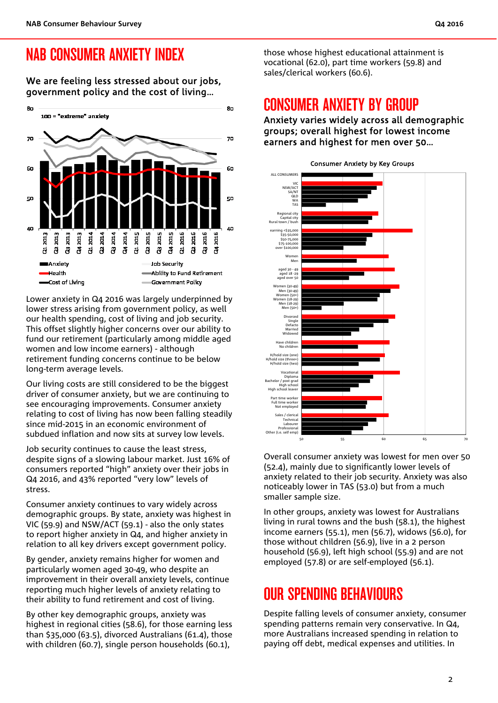### NAB CONSUMER ANXIETY INDEX

We are feeling less stressed about our jobs, government policy and the cost of living…



Lower anxiety in Q4 2016 was largely underpinned by lower stress arising from government policy, as well our health spending, cost of living and job security. This offset slightly higher concerns over our ability to fund our retirement (particularly among middle aged women and low income earners) - although retirement funding concerns continue to be below long-term average levels.

Our living costs are still considered to be the biggest driver of consumer anxiety, but we are continuing to see encouraging improvements. Consumer anxiety relating to cost of living has now been falling steadily since mid-2015 in an economic environment of subdued inflation and now sits at survey low levels.

Job security continues to cause the least stress, despite signs of a slowing labour market. Just 16% of consumers reported "high" anxiety over their jobs in Q4 2016, and 43% reported "very low" levels of stress.

Consumer anxiety continues to vary widely across demographic groups. By state, anxiety was highest in VIC (59.9) and NSW/ACT (59.1) - also the only states to report higher anxiety in Q4, and higher anxiety in relation to all key drivers except government policy.

By gender, anxiety remains higher for women and particularly women aged 30-49, who despite an improvement in their overall anxiety levels, continue reporting much higher levels of anxiety relating to their ability to fund retirement and cost of living.

By other key demographic groups, anxiety was highest in regional cities (58.6), for those earning less than \$35,000 (63.5), divorced Australians (61.4), those with children (60.7), single person households (60.1),

those whose highest educational attainment is vocational (62.0), part time workers (59.8) and sales/clerical workers (60.6).

### CONSUMER ANXIETY BY GROUP

Anxiety varies widely across all demographic groups; overall highest for lowest income earners and highest for men over 50…



Overall consumer anxiety was lowest for men over 50 (52.4), mainly due to significantly lower levels of anxiety related to their job security. Anxiety was also noticeably lower in TAS (53.0) but from a much smaller sample size.

In other groups, anxiety was lowest for Australians living in rural towns and the bush (58.1), the highest income earners (55.1), men (56.7), widows (56.0), for those without children (56.9), live in a 2 person household (56.9), left high school (55.9) and are not employed (57.8) or are self-employed (56.1).

# OUR SPENDING BEHAVIOURS

Despite falling levels of consumer anxiety, consumer spending patterns remain very conservative. In Q4, more Australians increased spending in relation to paying off debt, medical expenses and utilities. In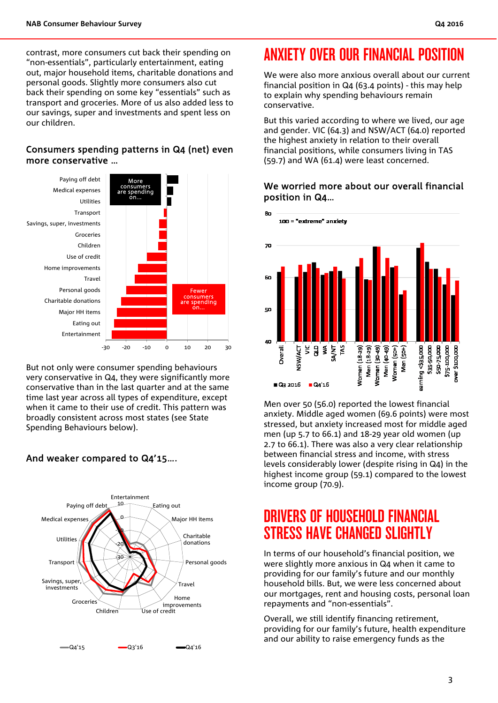contrast, more consumers cut back their spending on "non-essentials", particularly entertainment, eating out, major household items, charitable donations and personal goods. Slightly more consumers also cut back their spending on some key "essentials" such as transport and groceries. More of us also added less to our savings, super and investments and spent less on our children.

#### Consumers spending patterns in Q4 (net) even more conservative …



But not only were consumer spending behaviours very conservative in Q4, they were significantly more conservative than in the last quarter and at the same time last year across all types of expenditure, except when it came to their use of credit. This pattern was broadly consistent across most states (see State Spending Behaviours below).

#### And weaker compared to Q4'15….



# ANXIETY OVER OUR FINANCIAL POSITION

We were also more anxious overall about our current financial position in Q4 (63.4 points) - this may help to explain why spending behaviours remain conservative.

But this varied according to where we lived, our age and gender. VIC (64.3) and NSW/ACT (64.0) reported the highest anxiety in relation to their overall financial positions, while consumers living in TAS (59.7) and WA (61.4) were least concerned.

#### We worried more about our overall financial position in Q4…



Men over 50 (56.0) reported the lowest financial anxiety. Middle aged women (69.6 points) were most stressed, but anxiety increased most for middle aged men (up 5.7 to 66.1) and 18-29 year old women (up 2.7 to 66.1). There was also a very clear relationship between financial stress and income, with stress levels considerably lower (despite rising in Q4) in the highest income group (59.1) compared to the lowest income group (70.9).

### DRIVERS OF HOUSEHOLD FINANCIAL STRESS HAVE CHANGED SLIGHTLY

In terms of our household's financial position, we were slightly more anxious in Q4 when it came to providing for our family's future and our monthly household bills. But, we were less concerned about our mortgages, rent and housing costs, personal loan repayments and "non-essentials".

Overall, we still identify financing retirement, providing for our family's future, health expenditure and our ability to raise emergency funds as the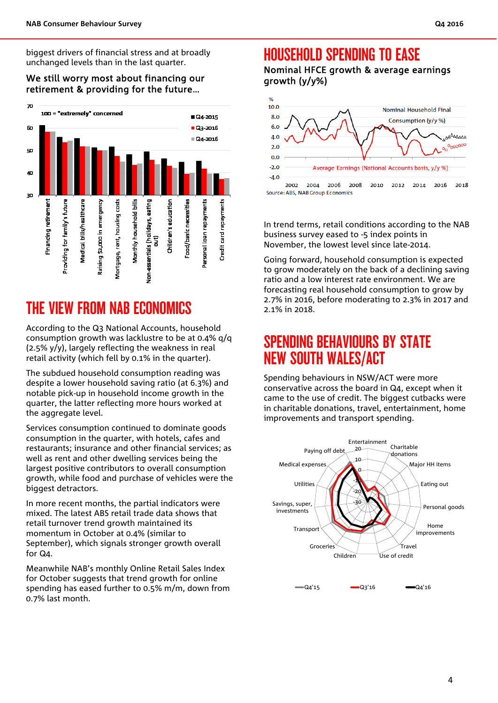biggest drivers of financial stress and at broadly unchanged levels than in the last quarter.

We still worry most about financing our retirement & providing for the future…



# THE VIEW FROM NAB ECONOMICS

According to the Q3 National Accounts, household consumption growth was lacklustre to be at 0.4% q/q (2.5% y/y), largely reflecting the weakness in real retail activity (which fell by 0.1% in the quarter).

The subdued household consumption reading was despite a lower household saving ratio (at 6.3%) and notable pick-up in household income growth in the quarter, the latter reflecting more hours worked at the aggregate level.

Services consumption continued to dominate goods consumption in the quarter, with hotels, cafes and restaurants; insurance and other financial services; as well as rent and other dwelling services being the largest positive contributors to overall consumption growth, while food and purchase of vehicles were the biggest detractors.

In more recent months, the partial indicators were mixed. The latest ABS retail trade data shows that retail turnover trend growth maintained its momentum in October at 0.4% (similar to September), which signals stronger growth overall for Q4.

Meanwhile NAB's monthly Online Retail Sales Index for October suggests that trend growth for online spending has eased further to 0.5% m/m, down from 0.7% last month.

#### HOUSEHOLD SPENDING TO EASE

Nominal HFCE growth & average earnings growth (y/y%)



In trend terms, retail conditions according to the NAB business survey eased to -5 index points in November, the lowest level since late-2014.

Going forward, household consumption is expected to grow moderately on the back of a declining saving ratio and a low interest rate environment. We are forecasting real household consumption to grow by 2.7% in 2016, before moderating to 2.3% in 2017 and 2.1% in 2018.

### SPENDING BEHAVIOURS BY STATE NEW SOUTH WALES/ACT

Spending behaviours in NSW/ACT were more conservative across the board in Q4, except when it came to the use of credit. The biggest cutbacks were in charitable donations, travel, entertainment, home improvements and transport spending.

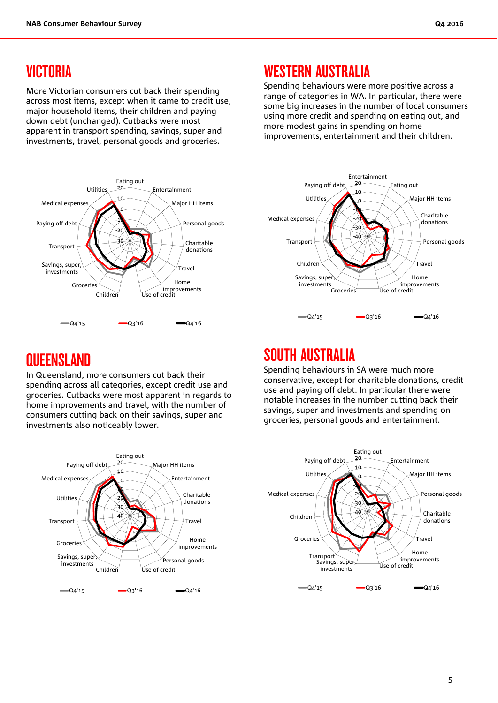### VICTORIA

More Victorian consumers cut back their spending across most items, except when it came to credit use, major household items, their children and paying down debt (unchanged). Cutbacks were most apparent in transport spending, savings, super and investments, travel, personal goods and groceries.



# WESTERN AUSTRALIA

Spending behaviours were more positive across a range of categories in WA. In particular, there were some big increases in the number of local consumers using more credit and spending on eating out, and more modest gains in spending on home improvements, entertainment and their children.



### **QUEENSLAND**

In Queensland, more consumers cut back their spending across all categories, except credit use and groceries. Cutbacks were most apparent in regards to home improvements and travel, with the number of consumers cutting back on their savings, super and investments also noticeably lower.

### SOUTH AUSTRALIA

Spending behaviours in SA were much more conservative, except for charitable donations, credit use and paying off debt. In particular there were notable increases in the number cutting back their savings, super and investments and spending on groceries, personal goods and entertainment.

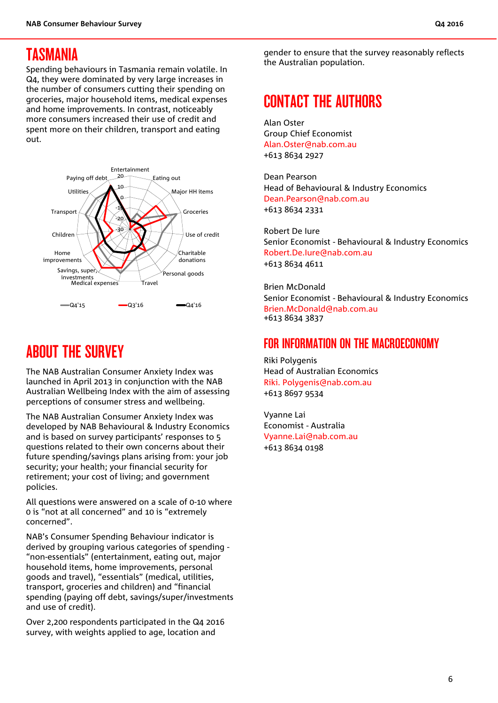#### TASMANIA

Spending behaviours in Tasmania remain volatile. In Q4, they were dominated by very large increases in the number of consumers cutting their spending on groceries, major household items, medical expenses and home improvements. In contrast, noticeably more consumers increased their use of credit and spent more on their children, transport and eating out.



## ABOUT THE SURVEY

The NAB Australian Consumer Anxiety Index was launched in April 2013 in conjunction with the NAB Australian Wellbeing Index with the aim of assessing perceptions of consumer stress and wellbeing.

The NAB Australian Consumer Anxiety Index was developed by NAB Behavioural & Industry Economics and is based on survey participants' responses to 5 questions related to their own concerns about their future spending/savings plans arising from: your job security; your health; your financial security for retirement; your cost of living; and government policies.

All questions were answered on a scale of 0-10 where 0 is "not at all concerned" and 10 is "extremely concerned".

NAB's Consumer Spending Behaviour indicator is derived by grouping various categories of spending - "non-essentials" (entertainment, eating out, major household items, home improvements, personal goods and travel), "essentials" (medical, utilities, transport, groceries and children) and "financial spending (paying off debt, savings/super/investments and use of credit).

Over 2,200 respondents participated in the Q4 2016 survey, with weights applied to age, location and

gender to ensure that the survey reasonably reflects the Australian population.

### CONTACT THE AUTHORS

Alan Oster Group Chief Economist Alan.Oster@nab.com.au +613 8634 2927

Dean Pearson Head of Behavioural & Industry Economics Dean.Pearson@nab.com.au +613 8634 2331

Robert De Iure Senior Economist - Behavioural & Industry Economics Robert.De.Iure@nab.com.au +613 8634 4611

Brien McDonald Senior Economist - Behavioural & Industry Economics Brien.McDonald@nab.com.au +613 8634 3837

#### FOR INFORMATION ON THE MACROECONOMY

Riki Polygenis Head of Australian Economics Riki. Polygenis@nab.com.au +613 8697 9534

Vyanne Lai Economist - Australia Vyanne.Lai@nab.com.au +613 8634 0198